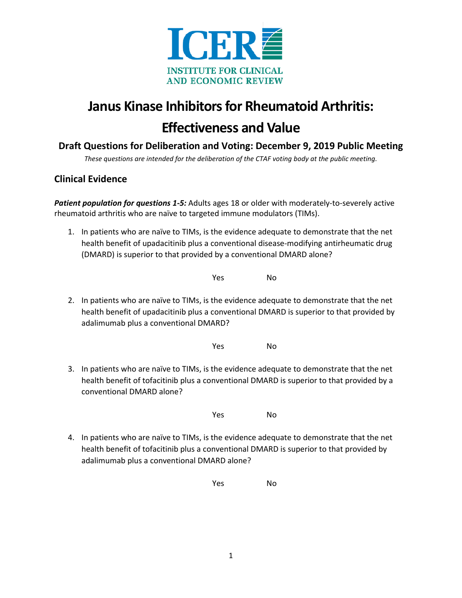

# **Janus Kinase Inhibitors for Rheumatoid Arthritis: Effectiveness and Value**

## **Draft Questions for Deliberation and Voting: December 9, 2019 Public Meeting**

*These questions are intended for the deliberation of the CTAF voting body at the public meeting.*

#### **Clinical Evidence**

*Patient population for questions 1-5:* Adults ages 18 or older with moderately-to-severely active rheumatoid arthritis who are naïve to targeted immune modulators (TIMs).

1. In patients who are naïve to TIMs, is the evidence adequate to demonstrate that the net health benefit of upadacitinib plus a conventional disease-modifying antirheumatic drug (DMARD) is superior to that provided by a conventional DMARD alone?

Yes No

2. In patients who are naïve to TIMs, is the evidence adequate to demonstrate that the net health benefit of upadacitinib plus a conventional DMARD is superior to that provided by adalimumab plus a conventional DMARD?

Yes No

3. In patients who are naïve to TIMs, is the evidence adequate to demonstrate that the net health benefit of tofacitinib plus a conventional DMARD is superior to that provided by a conventional DMARD alone?

Yes No

4. In patients who are naïve to TIMs, is the evidence adequate to demonstrate that the net health benefit of tofacitinib plus a conventional DMARD is superior to that provided by adalimumab plus a conventional DMARD alone?

Yes No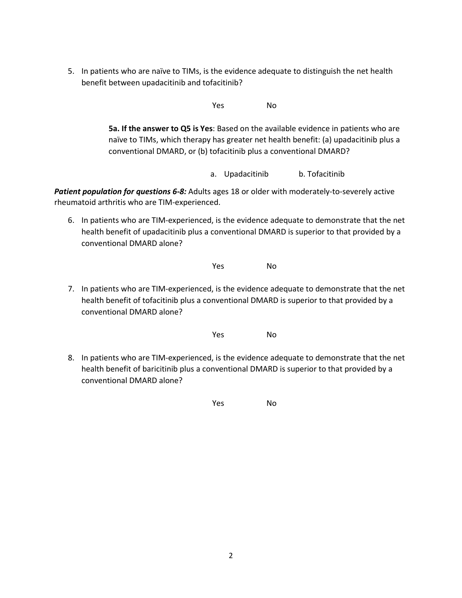5. In patients who are naïve to TIMs, is the evidence adequate to distinguish the net health benefit between upadacitinib and tofacitinib?

Yes No

**5a. If the answer to Q5 is Yes**: Based on the available evidence in patients who are naïve to TIMs, which therapy has greater net health benefit: (a) upadacitinib plus a conventional DMARD, or (b) tofacitinib plus a conventional DMARD?

a. Upadacitinib b. Tofacitinib

Patient population for questions 6-8: Adults ages 18 or older with moderately-to-severely active rheumatoid arthritis who are TIM-experienced.

6. In patients who are TIM-experienced, is the evidence adequate to demonstrate that the net health benefit of upadacitinib plus a conventional DMARD is superior to that provided by a conventional DMARD alone?

Yes No

7. In patients who are TIM-experienced, is the evidence adequate to demonstrate that the net health benefit of tofacitinib plus a conventional DMARD is superior to that provided by a conventional DMARD alone?

Yes No

8. In patients who are TIM-experienced, is the evidence adequate to demonstrate that the net health benefit of baricitinib plus a conventional DMARD is superior to that provided by a conventional DMARD alone?

Yes No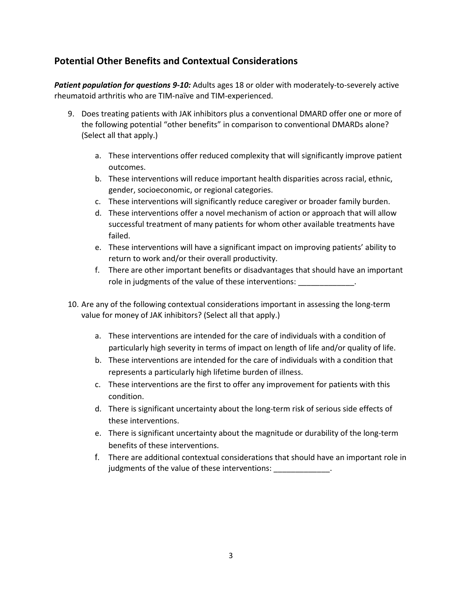### **Potential Other Benefits and Contextual Considerations**

*Patient population for questions 9-10:* Adults ages 18 or older with moderately-to-severely active rheumatoid arthritis who are TIM-naïve and TIM-experienced.

- 9. Does treating patients with JAK inhibitors plus a conventional DMARD offer one or more of the following potential "other benefits" in comparison to conventional DMARDs alone? (Select all that apply.)
	- a. These interventions offer reduced complexity that will significantly improve patient outcomes.
	- b. These interventions will reduce important health disparities across racial, ethnic, gender, socioeconomic, or regional categories.
	- c. These interventions will significantly reduce caregiver or broader family burden.
	- d. These interventions offer a novel mechanism of action or approach that will allow successful treatment of many patients for whom other available treatments have failed.
	- e. These interventions will have a significant impact on improving patients' ability to return to work and/or their overall productivity.
	- f. There are other important benefits or disadvantages that should have an important role in judgments of the value of these interventions:
- 10. Are any of the following contextual considerations important in assessing the long-term value for money of JAK inhibitors? (Select all that apply.)
	- a. These interventions are intended for the care of individuals with a condition of particularly high severity in terms of impact on length of life and/or quality of life.
	- b. These interventions are intended for the care of individuals with a condition that represents a particularly high lifetime burden of illness.
	- c. These interventions are the first to offer any improvement for patients with this condition.
	- d. There is significant uncertainty about the long-term risk of serious side effects of these interventions.
	- e. There is significant uncertainty about the magnitude or durability of the long-term benefits of these interventions.
	- f. There are additional contextual considerations that should have an important role in judgments of the value of these interventions: \_\_\_\_\_\_\_\_\_\_\_\_\_\_.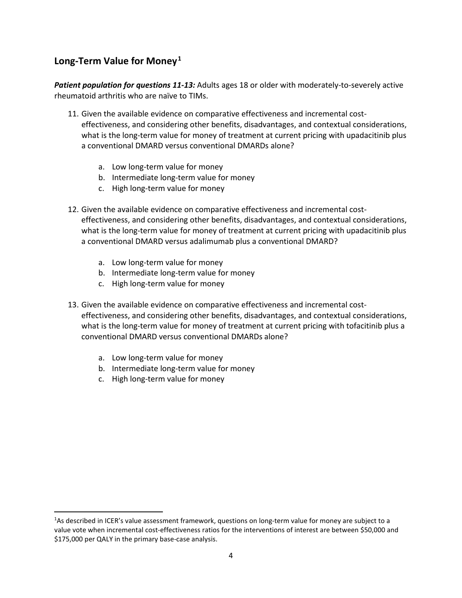## **Long-Term Value for Money[1](#page-3-0)**

*Patient population for questions 11-13:* Adults ages 18 or older with moderately-to-severely active rheumatoid arthritis who are naïve to TIMs.

- 11. Given the available evidence on comparative effectiveness and incremental costeffectiveness, and considering other benefits, disadvantages, and contextual considerations, what is the long-term value for money of treatment at current pricing with upadacitinib plus a conventional DMARD versus conventional DMARDs alone?
	- a. Low long-term value for money
	- b. Intermediate long-term value for money
	- c. High long-term value for money
- 12. Given the available evidence on comparative effectiveness and incremental costeffectiveness, and considering other benefits, disadvantages, and contextual considerations, what is the long-term value for money of treatment at current pricing with upadacitinib plus a conventional DMARD versus adalimumab plus a conventional DMARD?
	- a. Low long-term value for money
	- b. Intermediate long-term value for money
	- c. High long-term value for money
- 13. Given the available evidence on comparative effectiveness and incremental costeffectiveness, and considering other benefits, disadvantages, and contextual considerations, what is the long-term value for money of treatment at current pricing with tofacitinib plus a conventional DMARD versus conventional DMARDs alone?
	- a. Low long-term value for money
	- b. Intermediate long-term value for money
	- c. High long-term value for money

<span id="page-3-0"></span><sup>&</sup>lt;sup>1</sup>As described in ICER's value assessment framework, questions on long-term value for money are subject to a value vote when incremental cost-effectiveness ratios for the interventions of interest are between \$50,000 and \$175,000 per QALY in the primary base-case analysis.